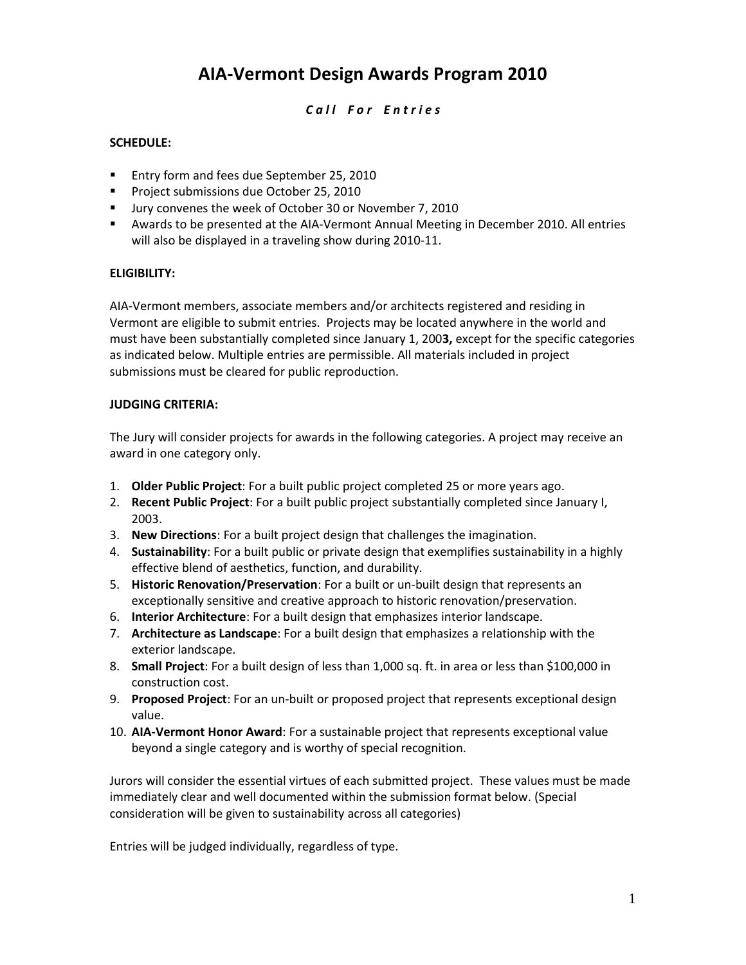# **AIA-Vermont Design Awards Program 2010**

# *C a l l F o r E n t r i e s*

# **SCHEDULE:**

- **Entry form and fees due September 25, 2010**
- **Project submissions due October 25, 2010**
- Uury convenes the week of October 30 or November 7, 2010
- Awards to be presented at the AIA-Vermont Annual Meeting in December 2010. All entries will also be displayed in a traveling show during 2010-11.

#### **ELIGIBILITY:**

AIA-Vermont members, associate members and/or architects registered and residing in Vermont are eligible to submit entries. Projects may be located anywhere in the world and must have been substantially completed since January 1, 200**3,** except for the specific categories as indicated below. Multiple entries are permissible. All materials included in project submissions must be cleared for public reproduction.

#### **JUDGING CRITERIA:**

The Jury will consider projects for awards in the following categories. A project may receive an award in one category only.

- 1. **Older Public Project**: For a built public project completed 25 or more years ago.
- 2. **Recent Public Project**: For a built public project substantially completed since January I, 2003.
- 3. **New Directions**: For a built project design that challenges the imagination.
- 4. **Sustainability**: For a built public or private design that exemplifies sustainability in a highly effective blend of aesthetics, function, and durability.
- 5. **Historic Renovation/Preservation**: For a built or un-built design that represents an exceptionally sensitive and creative approach to historic renovation/preservation.
- 6. **Interior Architecture**: For a built design that emphasizes interior landscape.
- 7. **Architecture as Landscape**: For a built design that emphasizes a relationship with the exterior landscape.
- 8. **Small Project**: For a built design of less than 1,000 sq. ft. in area or less than \$100,000 in construction cost.
- 9. **Proposed Project**: For an un-built or proposed project that represents exceptional design value.
- 10. **AIA-Vermont Honor Award**: For a sustainable project that represents exceptional value beyond a single category and is worthy of special recognition.

Jurors will consider the essential virtues of each submitted project. These values must be made immediately clear and well documented within the submission format below. (Special consideration will be given to sustainability across all categories)

Entries will be judged individually, regardless of type.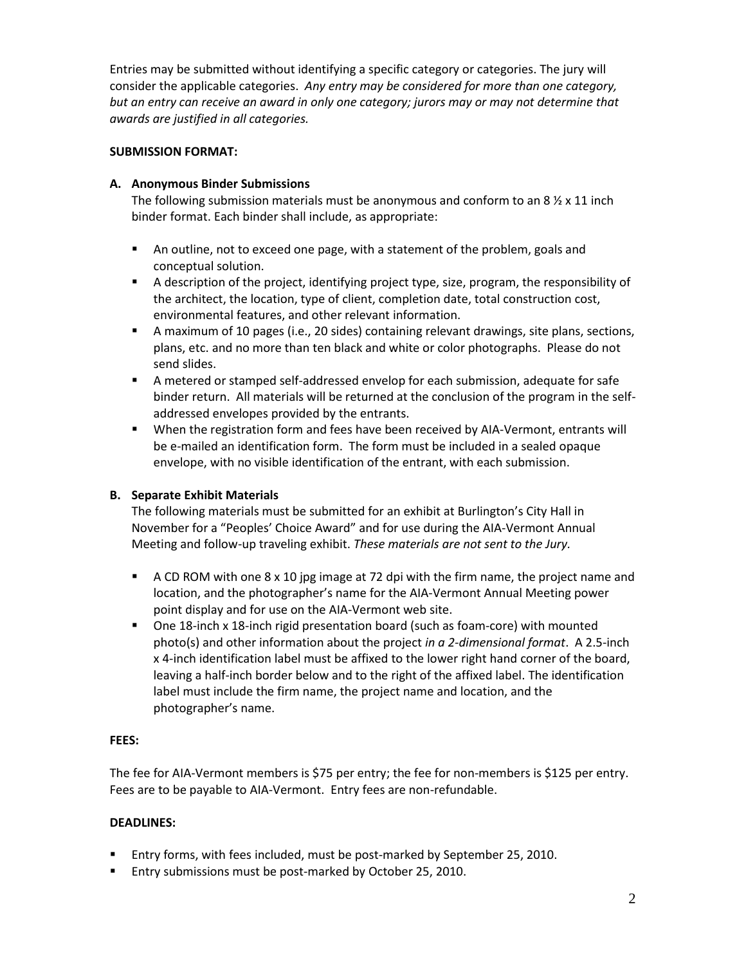Entries may be submitted without identifying a specific category or categories. The jury will consider the applicable categories. *Any entry may be considered for more than one category, but an entry can receive an award in only one category; jurors may or may not determine that awards are justified in all categories.* 

# **SUBMISSION FORMAT:**

# **A. Anonymous Binder Submissions**

The following submission materials must be anonymous and conform to an 8  $\frac{1}{2}$  x 11 inch binder format. Each binder shall include, as appropriate:

- An outline, not to exceed one page, with a statement of the problem, goals and conceptual solution.
- A description of the project, identifying project type, size, program, the responsibility of the architect, the location, type of client, completion date, total construction cost, environmental features, and other relevant information.
- A maximum of 10 pages (i.e., 20 sides) containing relevant drawings, site plans, sections, plans, etc. and no more than ten black and white or color photographs. Please do not send slides.
- A metered or stamped self-addressed envelop for each submission, adequate for safe binder return. All materials will be returned at the conclusion of the program in the selfaddressed envelopes provided by the entrants.
- When the registration form and fees have been received by AIA-Vermont, entrants will be e-mailed an identification form. The form must be included in a sealed opaque envelope, with no visible identification of the entrant, with each submission.

# **B. Separate Exhibit Materials**

The following materials must be submitted for an exhibit at Burlington's City Hall in November for a "Peoples' Choice Award" and for use during the AIA-Vermont Annual Meeting and follow-up traveling exhibit. *These materials are not sent to the Jury.*

- **A CD ROM with one 8 x 10 jpg image at 72 dpi with the firm name, the project name and** location, and the photographer's name for the AIA-Vermont Annual Meeting power point display and for use on the AIA-Vermont web site.
- One 18-inch x 18-inch rigid presentation board (such as foam-core) with mounted photo(s) and other information about the project *in a 2-dimensional format*. A 2.5-inch x 4-inch identification label must be affixed to the lower right hand corner of the board, leaving a half-inch border below and to the right of the affixed label. The identification label must include the firm name, the project name and location, and the photographer's name.

#### **FEES:**

The fee for AIA-Vermont members is \$75 per entry; the fee for non-members is \$125 per entry. Fees are to be payable to AIA-Vermont. Entry fees are non-refundable.

#### **DEADLINES:**

- Entry forms, with fees included, must be post-marked by September 25, 2010.
- **Entry submissions must be post-marked by October 25, 2010.**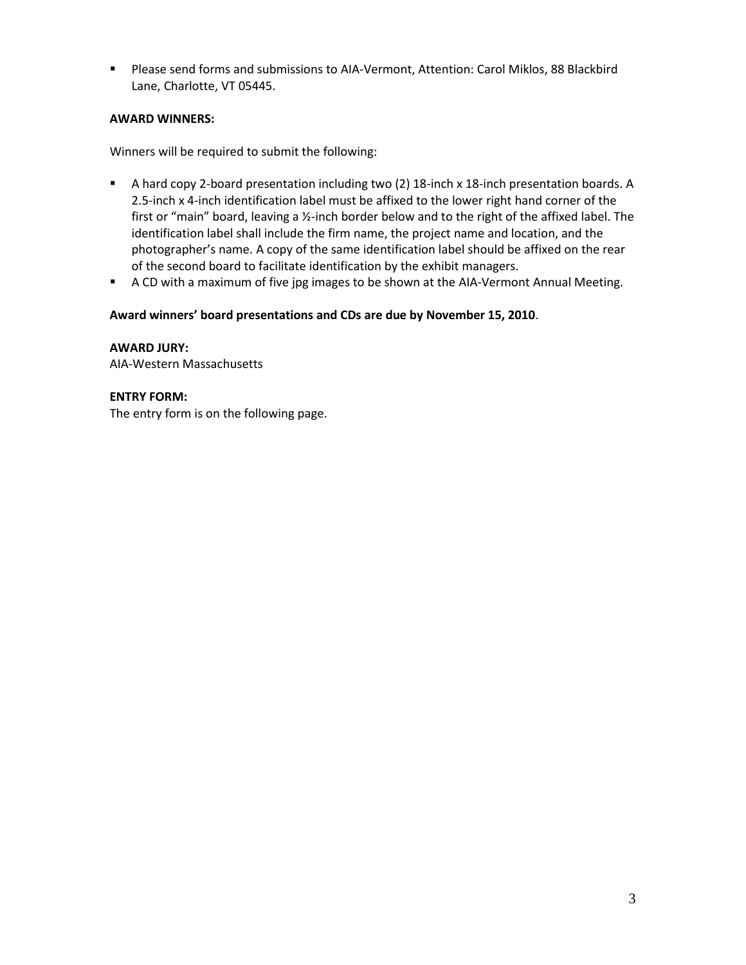Please send forms and submissions to AIA-Vermont, Attention: Carol Miklos, 88 Blackbird Lane, Charlotte, VT 05445.

# **AWARD WINNERS:**

Winners will be required to submit the following:

- A hard copy 2-board presentation including two (2) 18-inch x 18-inch presentation boards. A 2.5-inch x 4-inch identification label must be affixed to the lower right hand corner of the first or "main" board, leaving a ½-inch border below and to the right of the affixed label. The identification label shall include the firm name, the project name and location, and the photographer's name. A copy of the same identification label should be affixed on the rear of the second board to facilitate identification by the exhibit managers.
- **A CD with a maximum of five jpg images to be shown at the AIA-Vermont Annual Meeting.**

# **Award winners' board presentations and CDs are due by November 15, 2010**.

**AWARD JURY:** AIA-Western Massachusetts

# **ENTRY FORM:**

The entry form is on the following page.